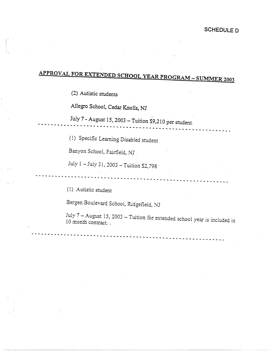## APPROVAL FOR EXTENDED SCHOOL YEAR PROGRAM - SUMMER 2003

(2) Autistic students

I I  $\uparrow$ 

Allegro School, Cedar Knolls, NJ

July 7 - August 15, 2003 - Tuition \$9,210 per student. ----------- -- ------.----- - -------------------- - ----- --- - ----

--- -- ------- --- - - ------·------ -- --- - -------- - - ------ - -- - - ---

--- - ------------- ------------- - -- - ---- - - - - - ------- - - - ------

(1) Specific Learning Disabled student

Banyan School, Fairfield, NJ

July  $1 -$  July 31, 2003 - Tuition \$2,798

(I) Autistic student

Bergen Boulevard School, Ridgefield, NJ

July 7 - August 15, 2003 - Tuition for extended school year is included in 10 month contract.·.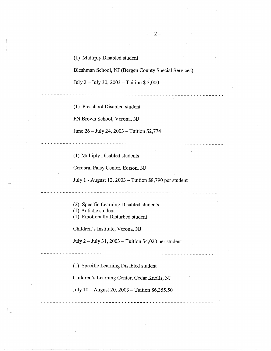(1) Multiply Disabled student

Bleshman School, NJ (Bergen County Special Services)

--------------------------------

2-

\_ \_ \_ \_ \_ \_ \_ \_ \_ \_ \_ \_ \_ \_ \_ \_ \_ \_

-------------------------

July 2 - July 30, 2003 - Tuition \$ 3,000

(1) Preschool Disabled student

FN Brown School, Verona, NJ

June 26 - July 24, 2003 - Tuition \$2,774

(1) Multiply Disabled students

Cerebral Palsy Center, Edison, NJ

July 1 - August 12, 2003 -Tuition \$8,790 per student

- (2) Specific Learning Disabled students
- (1) Autistic student
- (1) Emotionally Disturbed student

Children's Institute, Verona, NJ

July  $2$  – July 31, 2003 – Tuition \$4,020 per student

(1) Specific Learning Disabled student

Children's Learning Center, Cedar Knolls, NJ

July 10 -August 20, 2003 - Tuition \$6,355.50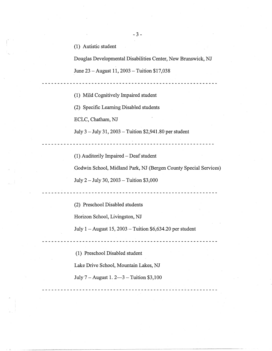(1) Autistic student

Douglas Developmental Disabilities Center, New Brunswick, NJ

June 23 - August 11, 2003 - Tuition \$17,038

(1) Mild Cognitively Impaired student

(2) Specific Learning Disabled students

ECLC, Chatham, NJ

\_ \_ \_ \_ \_ \_ \_ \_ \_ \_ \_ \_ \_ \_ \_ \_ \_

July 3 -July 31, 2003 -Tuition \$2,941.80 per student

 $(1)$  Auditorily Impaired – Deaf student

Godwin School, Midland Park, NJ (Bergen County Special Services)

<u>--------------------------</u>

July 2 - July 30, 2003 - Tuition \$3,000

(2) Preschool Disabled students

Horizon School, Livingston, NJ

July  $1 -$ August 15, 2003  $-$  Tuition \$6,634.20 per student

------------------------------------

(1). Preschool Disabled student

Lake Drive School, Mountain Lakes, NJ

July 7 - August 1. 2-3 - Tuition \$3,100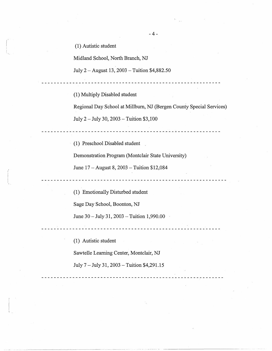(1) Autistic student

Midland School, North Branch, NJ

July 2-August 13, 2003 -Tuition \$4,882.50

(1) Multiply Disabled student

Regional Day School at Millburn, NJ (Bergen County Special Services) July 2 -July 30, 2003 -Tuition \$3,1'00

(1) Preschool Disabled student

Demonstration Program (Montclair State University)

June 17 - August 8, 2003 - Tuition \$12,084

(1) Emotionally Disturbed student

Sage Day School, Boonton, NJ

June  $30 -$  July  $31, 2003 -$  Tuition 1,990.00

\_\_\_\_\_\_\_\_\_\_\_\_\_\_\_\_\_\_\_\_\_\_\_\_\_\_\_\_\_\_\_\_\_\_\_\_

(1) Autistic student

Sawtelle Learning Center, Montclair, NJ

July 7 - July 31, 2003 -Tuition \$4,291.15